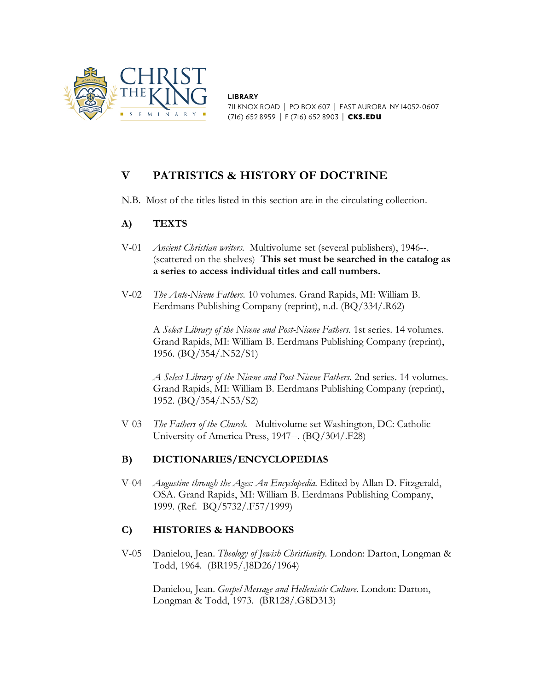

**LIBRARY** 711 KNOX ROAD | PO BOX 607 | EAST AURORA NY 14052-0607 (716) 652 8959 | F (716) 652 8903 | CKS.EDU

# **V PATRISTICS & HISTORY OF DOCTRINE**

N.B. Most of the titles listed in this section are in the circulating collection.

### **A) TEXTS**

- V-01 *Ancient Christian writers.* Multivolume set (several publishers), 1946--. (scattered on the shelves) **This set must be searched in the catalog as a series to access individual titles and call numbers.**
- V-02 *The Ante-Nicene Fathers.* 10 volumes. Grand Rapids, MI: William B. Eerdmans Publishing Company (reprint), n.d. (BQ/334/.R62)

A *Select Library of the Nicene and Post-Nicene Fathers.* 1st series. 14 volumes. Grand Rapids, MI: William B. Eerdmans Publishing Company (reprint), 1956. (BQ/354/.N52/S1)

*A Select Library of the Nicene and Post-Nicene Fathers.* 2nd series. 14 volumes. Grand Rapids, MI: William B. Eerdmans Publishing Company (reprint), 1952. (BQ/354/.N53/S2)

V-03 *The Fathers of the Church.* Multivolume set Washington, DC: Catholic University of America Press, 1947--. (BQ/304/.F28)

# **B) DICTIONARIES/ENCYCLOPEDIAS**

V-04 *Augustine through the Ages: An Encyclopedia.* Edited by Allan D. Fitzgerald, OSA. Grand Rapids, MI: William B. Eerdmans Publishing Company, 1999. (Ref. BQ/5732/.F57/1999)

# **C) HISTORIES & HANDBOOKS**

V-05 Danielou, Jean. *Theology of Jewish Christianity.* London: Darton, Longman & Todd, 1964. (BR195/.J8D26/1964)

Danielou, Jean. *Gospel Message and Hellenistic Culture.* London: Darton, Longman & Todd, 1973. (BR128/.G8D313)